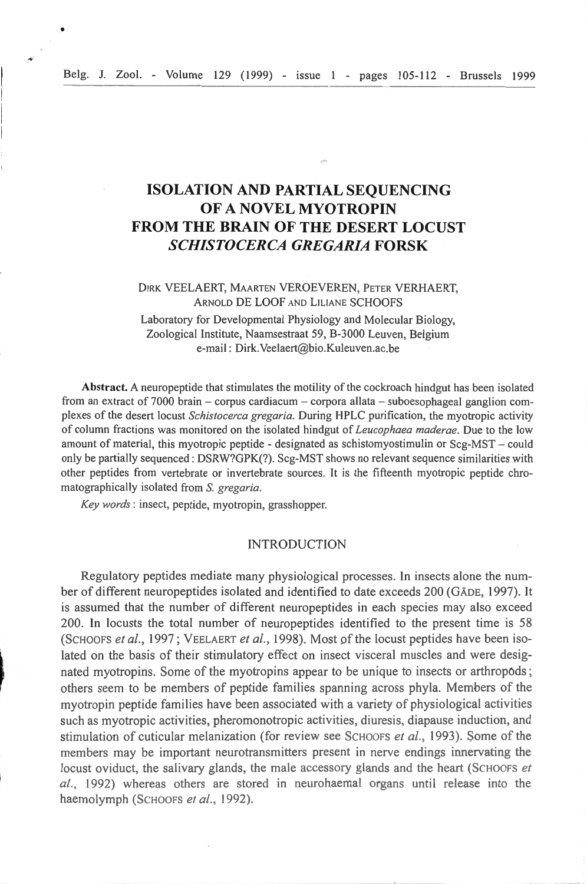# **ISOLATION AND PARTIAL SEQUENCING OF A NOVEL MYOTROPIN FROM THE BRAIN OF THE DESERT LOCUST**  *SCHISTOCERCA GREGARIA* **FORSK**

# DIRK VEELAERT, MAARTEN VEROEVEREN, PETER VERHAERT, ARNOLD DE LOOF AND LILIANE SCHOOFS

Laboratory for Developmental Physiology and Molecular Biology, Zoological lnstitute, Naamsestraat 59, B-3000 Leuven, Belgium e-mail : Dirk.Yeelaert@bio.Kuleuven.ac.be

**Abstract.** A neuropeptide that stimulates the motility of the cockroach hindgut has been isolated from an extract of 7000 brain - corpus cardiacum - corpora allata - suboesophageal ganglion complexes of the desert locust *Schistocerca gregaria*. During HPLC purification, the myotropic activity of column fractions was monitored on the isolated hindgut of *Leucophaea maderae*. Due to the low amount of material, this myotropic peptide - designated as schistomyostimulin or Scg-MST - could only be partially sequenced: DSRW?GPK(?). Scg-MST shows no relevant sequence similarities with other peptides from vertebrate or invertebrate sources. It is the fifteenth myotropic peptide chromatographica lly isolated from S. *gregaria.* 

*Key words :* insect, peptide, myotropin, grasshopper .

# . INTRODUCTION

Regulatory peptides mediate many physiological processes. In insects alone the number of different neuropeptides isolated and identified to date exceeds 200 (GADE, 1997). It is assumed that the number of different neuropeptides in each species may also exceed 200. ln locusts the total number of neuropeptides identifïed to the present time is 58 (SCHOOFS et al., 1997; VEELAERT et al., 1998). Most of the locust peptides have been isolated on the basis of their stimulatory effect on insect visceral muscles and were designated myotropins. Some of the myotropins appear to be unique to insects or arthropods; others seem to be members of peptide families spanning across phyla. Members of the myotropin peptide families have been associated with a variety of physiological activities such as myotropic activities, pheromonotropic activities, diuresis, diapause induction, and stimulation of cuticular melanization (for review see SCHOOFS et al., 1993). Some of the members may be important neurotransmitters present in nerve endings innervating the locust oviduct, the salivary glands, the male accessory glands and the heart (SCHOOFS et al., 1992) whereas others are stored in neurohaemal organs until release into the haemolymph (SCHOOFS et al., 1992).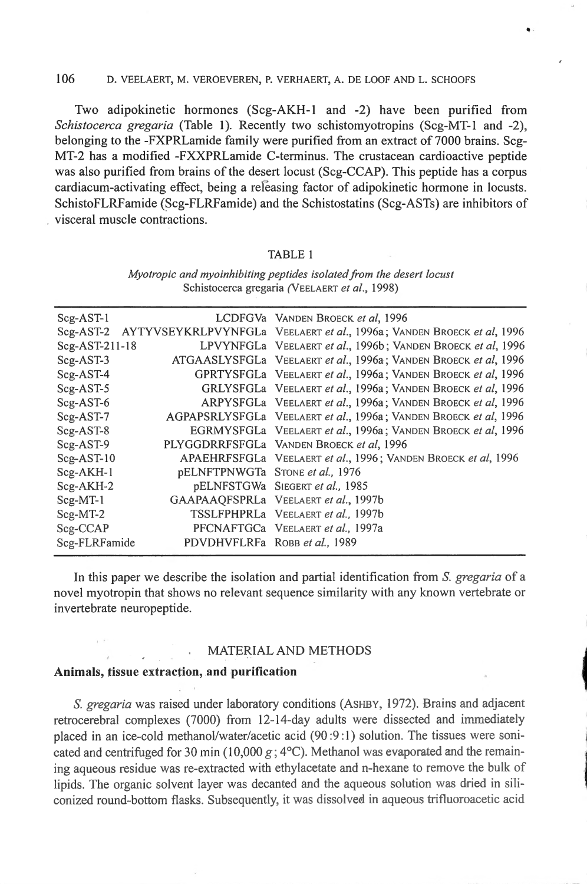## 106 D. VEELAERT, M. VEROEYEREN, P. VERHAERT, A. DE LOOF AND L. SCHOOFS

Two adipokinetic hormones (Scg-AKH-1 and -2) have been purified from *Schistocerca gregaria* (Table 1). Recently two schistomyotropins (Scg-MT-1 and -2), belonging to the -FXPRLamide family were purified from an extract of 7000 brains. Scg-MT-2 has a modified -FXXPRLamide C-terminus. The crustacean cardioactive peptide was also purified from brains of the desert locust (Scg-CCAP). This peptide has a corpus cardiacum-activating effect, being a re easing factor of adipokinetic hormone in locusts. SchistoFLRFamide (Scg-FLRFamide) and the Schistostatins (Scg-ASTs) are inhibitors of . visceral muscle contractions.

..

### TABLE 1

| $Scg-AST-1$    |                                 | LCDFGVa VANDEN BROECK et al, 1996                                      |
|----------------|---------------------------------|------------------------------------------------------------------------|
| $Scg-AST-2$    |                                 | AYTYVSEYKRLPVYNFGLa VEELAERT et al., 1996a; VANDEN BROECK et al., 1996 |
| Scg-AST-211-18 |                                 | LPVYNFGLa VEELAERT et al., 1996b; VANDEN BROECK et al, 1996            |
| $Scg-AST-3$    |                                 | ATGAASLYSFGLa VEELAERT et al., 1996a; VANDEN BROECK et al., 1996       |
| $Scg-AST-4$    |                                 | GPRTYSFGLa VEELAERT et al., 1996a; VANDEN BROECK et al., 1996          |
| $Scg-AST-5$    |                                 | GRLYSFGLa VEELAERT et al., 1996a; VANDEN BROECK et al, 1996            |
| Scg-AST-6      |                                 | ARPYSFGLa VEELAERT et al., 1996a; VANDEN BROECK et al, 1996            |
| Scg-AST-7      |                                 | AGPAPSRLYSFGLa VEELAERT et al., 1996a; VANDEN BROECK et al, 1996       |
| Scg-AST-8      |                                 | EGRMYSFGLa VEELAERT et al., 1996a; VANDEN BROECK et al., 1996          |
| $Scg-AST-9$    |                                 | PLYGGDRRFSFGLa VANDEN BROECK et al. 1996                               |
| $Scg-AST-10$   |                                 | APAEHRFSFGLa VEELAERT et al., 1996; VANDEN BROECK et al, 1996          |
| Scg-AKH-1      | pELNFTPNWGTa STONE et al., 1976 |                                                                        |
| $Scg-AKH-2$    |                                 | pELNFSTGWa SIEGERT et al., 1985                                        |
| $Scg-MT-1$     |                                 | GAAPAAQFSPRLa VEELAERT et al., 1997b                                   |
| $Scg-MT-2$     |                                 | TSSLFPHPRLa VEELAERT et al., 1997b                                     |
| Scg-CCAP       |                                 | PFCNAFTGCa VEELAERT et al., 1997a                                      |
| Scg-FLRFamide  | PDVDHVFLRFa ROBB et al., 1989   |                                                                        |
|                |                                 |                                                                        |

*Myotropic and myoinhibiting peptides isolated from the desert locust* Schistocerca gregaria (VEELAERT *et al.,* 1998)

ln this paper we describe the isolation and partial identification from S. *gregaria* of a novel myotropin that shows no relevant sequence similarity with any known vertebrate or invertebrate neuropeptide.

### MATERIAL AND METHODS

#### Animals, tissue extraction, and purification

S. gregaria was raised under laboratory conditions (ASHBY, 1972). Brains and adjacent retrocerebral complexes (7000) from 12-14-day adults were dissected and immediately placed in an ice-cold methanol/water/acetic acid  $(90:9:1)$  solution. The tissues were sonicated and centrifuged for 30 min (10,000  $g$ ; 4°C). Methanol was evaporated and the remaining aqueous residue was re-extracted with ethylacetate and n-hexane to remove the bulk of lipids. The organic solvent layer was decanted ând the aqueous solution was dried in siliconized round-bottom flasks. Subsequently, it was dissolved in aqueous trifluoroacetic acid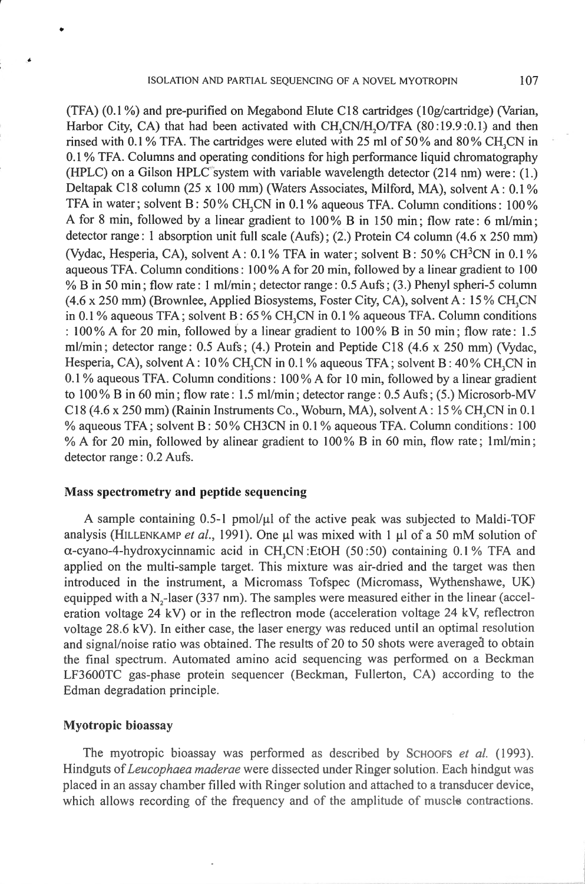(TFA) (0.1 %) and pre-purified on Megabond Elute Cl8 cartridges (!Og/cartridge) (Varian, Harbor City, CA) that had been activated with CH,CN/H,O/TFA  $(80:19.9:0.1)$  and then rinsed with 0.1 % TFA. The cartridges were eluted with 25 ml of 50% and 80% CH<sub>2</sub>CN in 0.1 % TFA. Columns and operating conditions for high perfonnance liquid chromatography (HPLC) on a Gilson HPLC system with variable wavelength detector  $(214 \text{ nm})$  were:  $(1.)$ Deltapak C18 column (25 x 100 mm) (Waters Associates, Milford, MA), solvent A: 0.1% TFA in water; solvent B: 50% CH<sub>3</sub>CN in 0.1% aqueous TFA. Column conditions:  $100\%$ A for 8 min, followed by a linear gradient to 100% B in 150 min; flow rate: 6 ml/min; detector range: 1 absorption unit full scale  $(Aufs)$ ; (2.) Protein C4 column ( $4.6 \times 250$  mm) (Vydac, Hesperia, CA), solvent A:  $0.1\%$  TFA in water; solvent B:  $50\%$  CH<sup>3</sup>CN in  $0.1\%$ aqueous TFA. Column conditions: 100% A for 20 min, followed by a linear gradient to 100 % B in 50 min; flow rate: 1 ml/min; detector range: 0.5 Aufs; (3.) Phenyl spheri-5 colunin  $(4.6 \times 250 \text{ mm})$  (Brownlee, Applied Biosystems, Foster City, CA), solvent A: 15% CH,CN in 0.1 % aqueous TFA; solvent B:  $65\%$  CH, CN in 0.1 % aqueous TFA. Column conditions : 100% A for 20 min, followed by a linear gradient to  $100\%$  B in 50 min; flow rate: 1.5 ml/min; detector range:  $0.5$  Aufs;  $(4.)$  Protein and Peptide C18  $(4.6 \times 250 \text{ mm})$  (Vydac, Hesperia, CA), solvent A: 10% CH<sub>3</sub>CN in 0.1% aqueous TFA; solvent B: 40% CH<sub>3</sub>CN in 0.1 % aqueous TFA. Column conditions: 100% A for 10 min, followed by a linear gradient to 100% B in 60 min; flow rate: 1.5 ml/min; detector range: 0.5 Aufs; (5.) Microsorb-MY C18 (4.6 x 250 mm) (Rainin Instruments Co., Woburn, MA), solvent A:  $15\%$  CH<sub>3</sub>CN in 0.1 % aqueous TFA; solvent B: 50% CH3CN in 0.1% aqueous TFA. Column conditions: 100 % A for 20 min, followed by alinear gradient to  $100\%$  B in 60 min, flow rate; 1ml/min; detector range: 0.2 Aufs.

# Mass spectrometry **and** peptide sequencing

A sample containing  $0.5$ -1 pmol/ $\mu$ l of the active peak was subjected to Maldi-TOF analysis (HILLENKAMP *et al.*, 1991). One  $\mu$ l was mixed with 1  $\mu$ l of a 50 mM solution of  $\alpha$ -cyano-4-hydroxycinnamic acid in CH<sub>3</sub>CN :EtOH (50:50) containing 0.1% TFA and applied on the multi-sample target. This mixture was air-dried and the target was then introduced in the instrument, a Micromass Tofspec (Micromass, Wythenshawe, UK) equipped with a  $N<sub>z</sub>$ -laser (337 nm). The samples were measured either in the linear (acceleration voltage 24 kV) or in the reflectron mode (acceleration voltage 24 kV, reflectron voltage 28.6 kV). In either case, the laser energy was reduced until an optimal resolution and signal/noise ratio was obtained. The results of 20 to 50 shots were averaged to obtain the final spectrum. Automated amino acid sequencing was performed. on a Beckman LF3600TC gas-phase protein sequencer (Beckman, Fullerton, CA) according to the Edman degradation principle.

### Myotropic bioassay

•

The myotropic bioassay was performed as described by SCHOOFS *et al.* (1993). Hindguts of *Leucophaea maderae* were dissected under Ringer solution. Each hindgut was placed in an assay chamber filled with Ringer solution and attached to a transducer device, which allows recording of the frequency and of the amplitude of muscle contractions.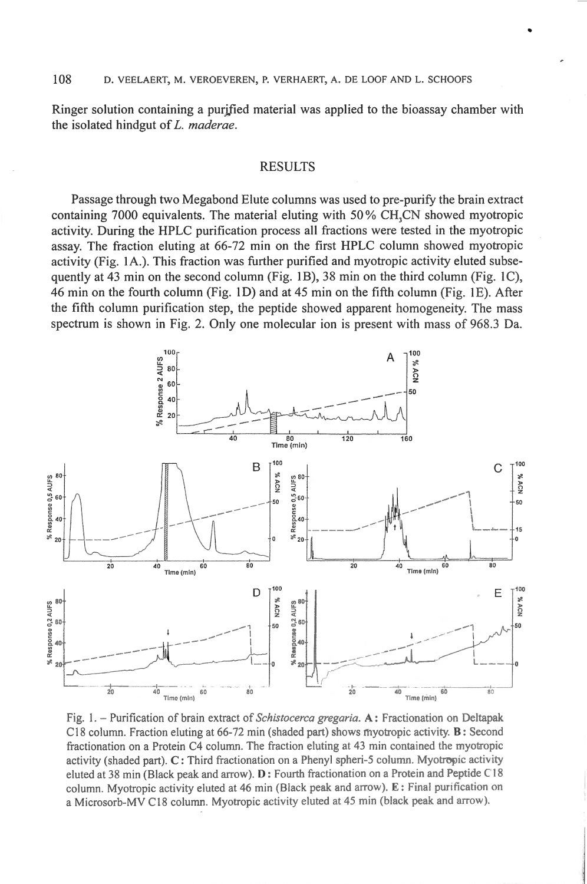Ringer solution containing a purifted material was applied to the bioassay chamber with the isolated hindgut of L. *maderae.* 

•

### RESULTS

Passage through two Megabond Elute columns was used to pre-purify the brain extract containing  $7000$  equivalents. The material eluting with  $50\%$  CH.CN showed myotropic activity. During the HPLC purification process ali fractions were tested in the myotropic assay. The fraction eluting at 66-72 min on the first HPLC column showed myotropic activity (Fig. 1A.). This fraction was further purified and myotropic activity eluted subsequently at 43 min on the second column (Fig. 1B), 38 min on the third column (Fig. 1C), 46 min on the fourth column (Fig. 1D) and at 45 min on the fifth column (Fig. 1E). After the fifth column purification step, the peptide showed apparent homogeneity. The mass spectrum is shown in Fig. 2. Only one molecular ion is present with mass of 968.3 Da.



Fig. 1. - Purification of brain extract of *Schistocerca gregaria*. **A**: Fractionation on Deltapak C18 column. Fraction eluting at 66-72 min (shaded part) shows myotropic activity. B: Second fractionation on a Protein C4 column. The fraction eluting at 43 min contained the myotropic activity (shaded part). C: Third fractionation on a Phenyl spheri-5 column. Myotropic activity eluted at 38 min (Black peak and arrow).  $D:$  Fourth fractionation on a Protein and Peptide C18 column. Myotropic activity eluted at 46 min (Black peak and arrow). E: Final purification on a Microsorb-MV C18 column. Myotropic activity eluted at 45 min (black peak and arrow).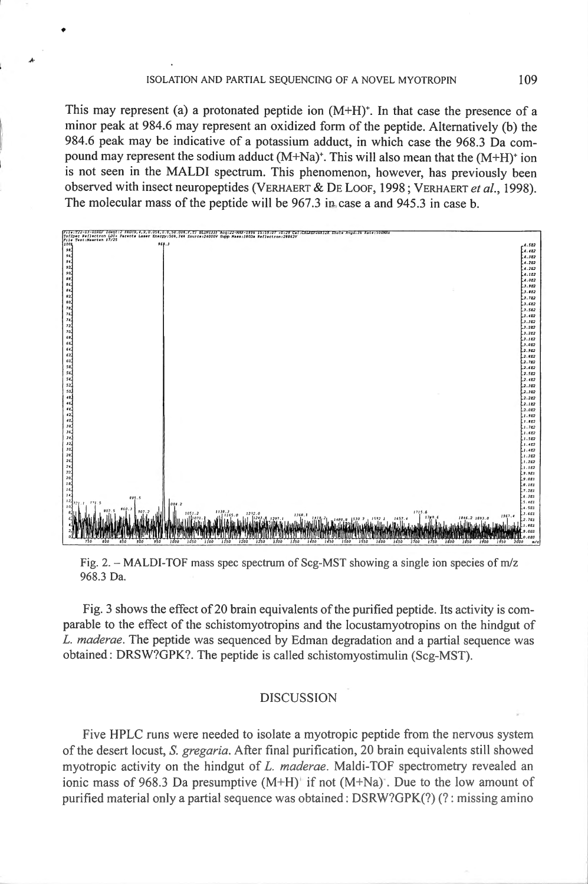*l'·* 

•

This may represent (a) a protonated peptide ion  $(M+H)^*$ . In that case the presence of a minor peak at 984.6 may represent an oxidized form of the peptide. Alternatively (b) the 984.6 peak may be indicative of a potassium adduct, in which case the 968.3 Da compound may represent the sodium adduct  $(M+Na)^+$ . This will also mean that the  $(M+H)^+$  ion is not seen in the MALDI spectrum. This phenomenon, however, has previously been observed with insect neuropeptides (VERHAERT & DE LOOF, 1998; VERHAERT *et al.,* 1998). The molecular mass of the peptide will be 967.3 in case a and 945.3 in case b.



Fig. 2. - MALDI-TOF mass spec spectrum of Scg-MST showing a single ion species of  $m/z$ 968.3 Da.

Fig. 3 shows the effect of 20 brain equivalents of the purified peptide. Its activity is comparable to the effect of the schistomyotropins and the locustamyotropios on the hindgut of L. *maderae.* The peptide was sequenced by Edman degradation and a partial sequence was obtained : DRSW?GPK?. The peptide is called schistomyostimulin (Scg-MST).

### DISCUSSION

Five HPLC runs were needed to isolate a myotropic peptide from the nervous system of the desert locust, *S. gregaria*. After final purification, 20 brain equivalents still showed myotropic activity on the hindgut of *L. maderae*. Maldi-TOF spectrometry revealed an ionic mass of 968.3 Da presumptive  $(M+H)^+$  if not  $(M+Na)^+$ . Due to the low amount of purified material only a partial sequence was obtained:  $DSRW?GPK(?)$  (?: missing amino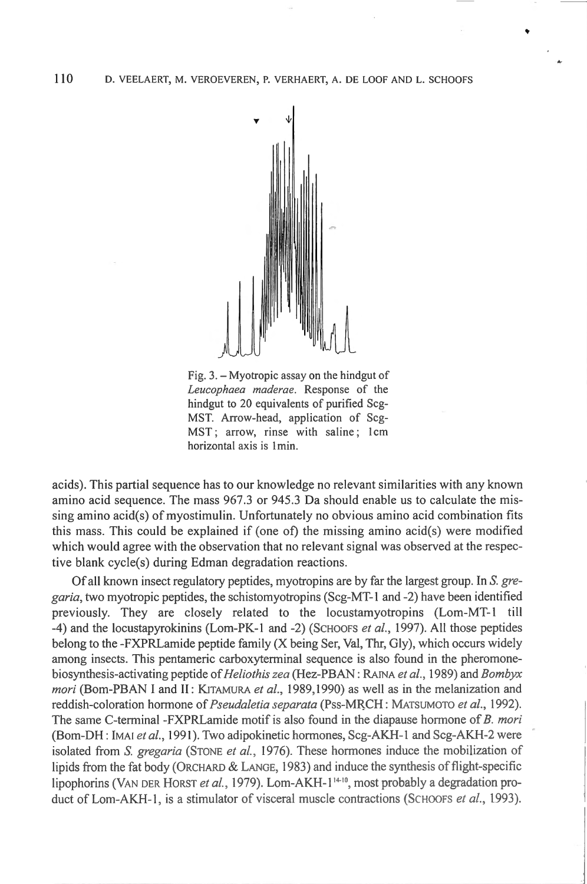

Fig. 3. - Myotropic assay on the hindgut of *Leucophaea maderae.* Response of the hindgut to 20 equivalents of purified Scg-MST. Arrow-head, application of Scg-MST; arrow, rinse with saline; lcm horizontal axis is 1 min.

acids). This partial sequence has to our knowledge no relevant similarities with any known amino acid sequence. The mass 967.3 or 945.3 Da should enable us to calculate the missing amino acid(s) of myostimulin. Unfortunately no obvious amino acid combination fits this mass. This could be explained if (one of) the missing amino acid(s) were modified which would agree with the observation that no relevant signal was observed at the respective blank cycle(s) during Edman degradation reactions.

Of all known insect regulatory peptides, myotropins are by far the largest group. In S. gre*garia,* two myotropic peptides, the schistomyotropins (Scg-MT-1 and -2) have been identified previously. They are closely related to the Iocustamyotropins (Lom-MT-1 till -4) and the Iocustapyrokinins (Lom-PK-1 and -2) (SCHOOFS *et al.,* 1997). Ali those peptides belong to the -FXPRLamide peptide family (X being Ser, Val, Thr, Gly), which occurs widely among insects. This pentameric carboxyterminal sequence is also found in the pheromonebiosynthesis-activating peptide of *Heliothis zea* (Hez-PBAN: RAINA *et al. ,* 1989) and *Bombyx mori* (Bom-PBAN I and II: KITAMURA *et al.*, 1989, 1990) as well as in the melanization and reddish-coloration hormone of *Pseudaletia separata* (Pss-MRCH: MATSUMOTO *et al.*, 1992). The same C-terminal -FXPRLamide motif is also found in the diapause hormone of B. mori (Bom-DH: lMAJ *et al. ,* 1991 ). Two adipokinetic hormones, Scg-AK.H-1 and Scg-AK.H-2 were isolated from S. *gregaria* (STONE *et al. ,* 1976). These hormones induce the mobilization of lipids from the fat body (ORCHARD & LANGE, 1983) and induce the synthesis of flight-specific lipophorins (V<sub>AN</sub> DER HORST *et al.*, 1979). Lom-AKH-1<sup>14-10</sup>, most probably a degradation product of Lom-AKH-1, is a stimulator of visceral muscle contractions (SCHOOFS *et al.*, 1993).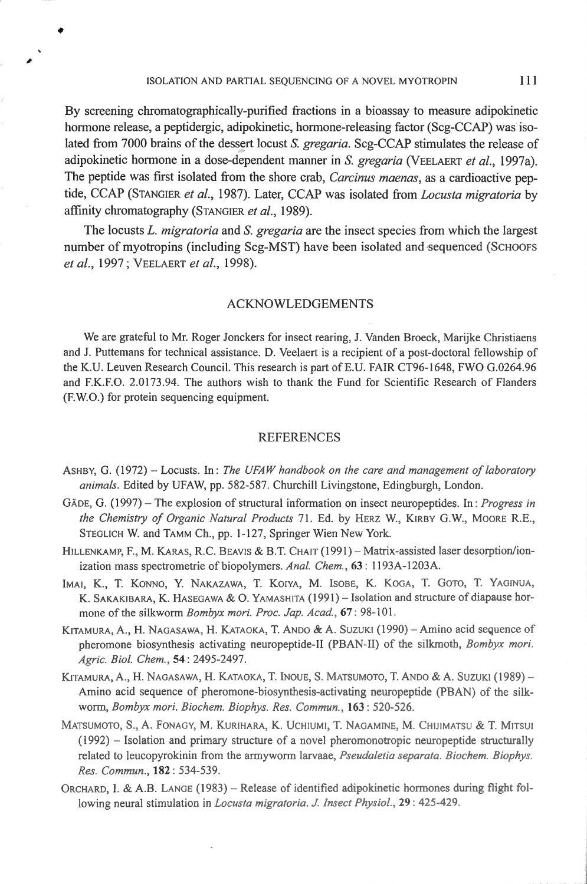ISOLATION AND PARTIAL SEQUENCING OF A NOVEL MYOTROPIN **111** 

•

By screening chromatographically-purified fractions in a bioassay to measure adipokinetic hormone release, a peptidergic, adipokinetic, hormone-releasing factor (Scg-CCAP) was isolated from 7000 brains of the dessert locust S. *gregaria*. Scg-CCAP stimulates the release of adipokinetic hormone **in** a dose-dependent mmmer **in** S. *gregaria* (VEELAERT *et al.,* 1997a). The peptide was first isolated from the shore crab, *Carcinus maenas,* as a cardioactive peptide, CCAP (STANGIER *et al.,* 1987). Later, CCAP was isolated from *Locusta migratoria* by affinity chromatography (STANGIER *et al.,* 1989).

The locusts L. *migratoria* and S. *gregaria* are the insect species from which the largest number of myotropins (including Scg-MST) have been isolated and sequenced (SCHOOFS *et al.,* 1997; VEELAERT *et a/.,* 1998).

### ACKNOWLEDGEMENTS

We are grateful to Mr. Roger Jonckers for insect rearing, J. Vanden Broeck, Marijke Christiaens and J. Puttemans for technical assistance. D. Veelaert is a recipient of a post-doctoral fellowship of the K.U. Leuven Research Council. This research is part of E.U. FAiR CT96-1648, FWO G.0264.96 and F.K.F.O. 2.0173.94. The authors wish to thank the Fund for Scientific Research of Flanders (F.W.O.) for protein sequencing equipment.

### REFERENCES

- ASHBY, G. (1972) Locusts. In: *The UFAW handbook on the care and management of laboratory anima/s.* Edited by UFAW, pp. 582-587. Churchill Livingstone, Edingburgh, London.
- GÄDE, G. (1997) The explosion of structural information on insect neuropeptides. In: *Progress in the Chemistry of Organic Natural Products* 71. Ed. by HERZ W. , KIRBY G.W., MoORE R.E. , STEGLICH W. and TAMM Ch., pp. 1-127, Springer Wien New York.
- HILLENKAMP, F., M. KARAS, R.C. BEAVIS & B.T. CHAIT (1991) Matrix-assisted laser desorption/ionization mass spectrometrie of biopolymers. Anal. Chem., 63: 1193A-1203A.
- IMAI, K., T. KONNO, Y. NAKAZAWA, T. KOIYA, M. ISOBE, K. KOGA, T. GOTO, T. YAGINUA, K. SAKAKIBARA, K. HASEGAWA & O. YAMASHITA (1991) - Isolation and structure of diapause hormone of the silkworm *Bombyx mori. Proc. Jap. Acad.*, 67: 98-101.
- KITAMURA, A., H. NAGASAWA, H. KATAOKA, T. ANDO & A. SUZUKI (1990) Amino acid sequence of pheromone biosynthesis activating neuropeptide-II (PBAN-II) of the silkmoth, *Bombyx mori*. *Agric. Biol. Chem. ,* 54: 2495-2497.
- KITAMURA, A., H. NAGASAWA, H. KATAOKA, T. INOUE, S. MATSUMOTO, T. ANDO & A. SUZUKI (1989) -Amino acid sequence of pheromone-biosynthesis-activating nemopeptide (PBAN) of the silkworm, *Bombyx mari. Biochem. Biophys. Res. Commun,* **163:** 520-526.
- MATSUMOTO, S., A. FONAGY, M. KURIHARA, K. UCHIUMI, T. NAGAMINE, M. CHIJIMATSU & T. MITSUI  $(1992)$  - Isolation and primary structure of a novel pheromonotropic neuropeptide structurally related to leucopyrokinin from the armyworm larvaae, *Pseudaletia separata. Biochem. Biophys. Res. Commun.,* **182:** 534-539.
- ORCHARD, I. & A.B. LANGE (1983) Release of identified adipokinetic hormones during flight following neural stimulation in *Locusta migratoria. J. Insect Physiol.*, 29: 425-429.